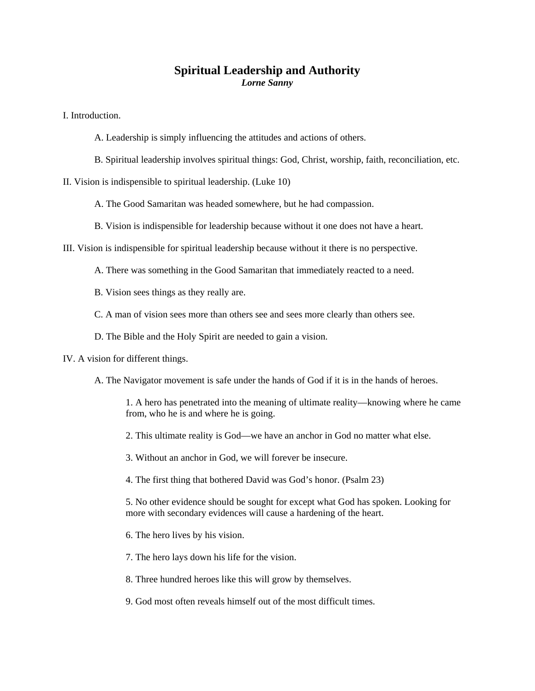## **Spiritual Leadership and Authority**  *Lorne Sanny*

I. Introduction.

- A. Leadership is simply influencing the attitudes and actions of others.
- B. Spiritual leadership involves spiritual things: God, Christ, worship, faith, reconciliation, etc.

II. Vision is indispensible to spiritual leadership. (Luke 10)

A. The Good Samaritan was headed somewhere, but he had compassion.

B. Vision is indispensible for leadership because without it one does not have a heart.

III. Vision is indispensible for spiritual leadership because without it there is no perspective.

A. There was something in the Good Samaritan that immediately reacted to a need.

B. Vision sees things as they really are.

C. A man of vision sees more than others see and sees more clearly than others see.

D. The Bible and the Holy Spirit are needed to gain a vision.

IV. A vision for different things.

A. The Navigator movement is safe under the hands of God if it is in the hands of heroes.

1. A hero has penetrated into the meaning of ultimate reality—knowing where he came from, who he is and where he is going.

2. This ultimate reality is God—we have an anchor in God no matter what else.

3. Without an anchor in God, we will forever be insecure.

4. The first thing that bothered David was God's honor. (Psalm 23)

5. No other evidence should be sought for except what God has spoken. Looking for more with secondary evidences will cause a hardening of the heart.

6. The hero lives by his vision.

7. The hero lays down his life for the vision.

8. Three hundred heroes like this will grow by themselves.

9. God most often reveals himself out of the most difficult times.